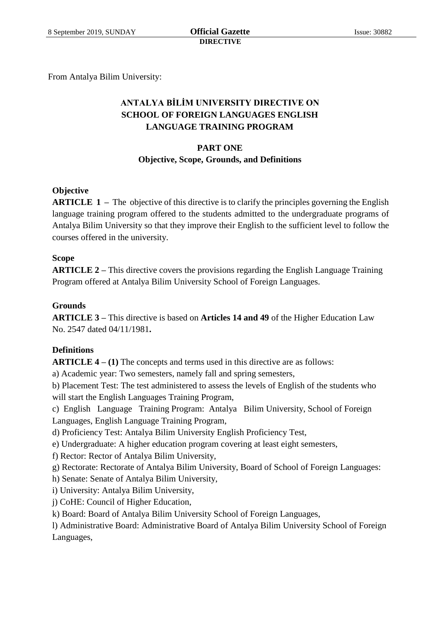From Antalya Bilim University:

# **ANTALYA BİLİM UNIVERSITY DIRECTIVE ON SCHOOL OF FOREIGN LANGUAGES ENGLISH LANGUAGE TRAINING PROGRAM**

## **PART ONE Objective, Scope, Grounds, and Definitions**

## **Objective**

**ARTICLE 1 –** The objective of this directive is to clarify the principles governing the English language training program offered to the students admitted to the undergraduate programs of Antalya Bilim University so that they improve their English to the sufficient level to follow the courses offered in the university.

## **Scope**

**ARTICLE 2 –** This directive covers the provisions regarding the English Language Training Program offered at Antalya Bilim University School of Foreign Languages.

### **Grounds**

**ARTICLE 3 –** This directive is based on **Articles 14 and 49** of the Higher Education Law No. 2547 dated 04/11/1981**.**

## **Definitions**

**ARTICLE 4 – (1)** The concepts and terms used in this directive are as follows:

a) Academic year: Two semesters, namely fall and spring semesters,

b) Placement Test: The test administered to assess the levels of English of the students who will start the English Languages Training Program,

c) English Language Training Program: Antalya Bilim University, School of Foreign Languages, English Language Training Program,

d) Proficiency Test: Antalya Bilim University English Proficiency Test,

e) Undergraduate: A higher education program covering at least eight semesters,

f) Rector: Rector of Antalya Bilim University,

g) Rectorate: Rectorate of Antalya Bilim University, Board of School of Foreign Languages:

h) Senate: Senate of Antalya Bilim University,

- i) University: Antalya Bilim University,
- j) CoHE: Council of Higher Education,
- k) Board: Board of Antalya Bilim University School of Foreign Languages,

l) Administrative Board: Administrative Board of Antalya Bilim University School of Foreign Languages,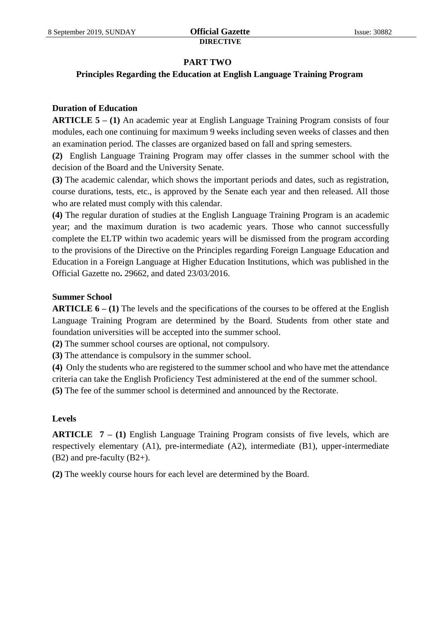## **PART TWO**

## **Principles Regarding the Education at English Language Training Program**

## **Duration of Education**

**ARTICLE 5 – (1)** An academic year at English Language Training Program consists of four modules, each one continuing for maximum 9 weeks including seven weeks of classes and then an examination period. The classes are organized based on fall and spring semesters.

**(2)** English Language Training Program may offer classes in the summer school with the decision of the Board and the University Senate.

**(3)** The academic calendar, which shows the important periods and dates, such as registration, course durations, tests, etc., is approved by the Senate each year and then released. All those who are related must comply with this calendar.

**(4)** The regular duration of studies at the English Language Training Program is an academic year; and the maximum duration is two academic years. Those who cannot successfully complete the ELTP within two academic years will be dismissed from the program according to the provisions of the Directive on the Principles regarding Foreign Language Education and Education in a Foreign Language at Higher Education Institutions, which was published in the Official Gazette no**.** 29662, and dated 23/03/2016.

## **Summer School**

**ARTICLE 6 – (1)** The levels and the specifications of the courses to be offered at the English Language Training Program are determined by the Board. Students from other state and foundation universities will be accepted into the summer school.

**(2)** The summer school courses are optional, not compulsory.

**(3)** The attendance is compulsory in the summer school.

**(4)** Only the students who are registered to the summer school and who have met the attendance criteria can take the English Proficiency Test administered at the end of the summer school.

**(5)** The fee of the summer school is determined and announced by the Rectorate.

## **Levels**

**ARTICLE 7 – (1)** English Language Training Program consists of five levels, which are respectively elementary (A1), pre-intermediate (A2), intermediate (B1), upper-intermediate (B2) and pre-faculty (B2+).

**(2)** The weekly course hours for each level are determined by the Board.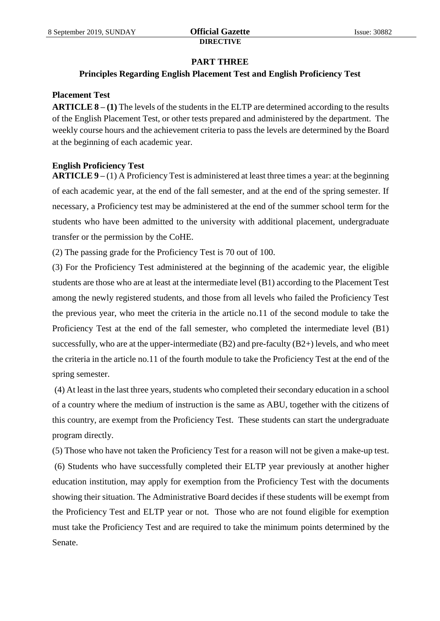### **PART THREE**

## **Principles Regarding English Placement Test and English Proficiency Test**

### **Placement Test**

**ARTICLE 8 – (1)** The levels of the students in the ELTP are determined according to the results of the English Placement Test, or other tests prepared and administered by the department. The weekly course hours and the achievement criteria to pass the levels are determined by the Board at the beginning of each academic year.

## **English Proficiency Test**

**ARTICLE 9 –** (1) A Proficiency Test is administered at least three times a year: at the beginning of each academic year, at the end of the fall semester, and at the end of the spring semester. If necessary, a Proficiency test may be administered at the end of the summer school term for the students who have been admitted to the university with additional placement, undergraduate transfer or the permission by the CoHE.

(2) The passing grade for the Proficiency Test is 70 out of 100.

(3) For the Proficiency Test administered at the beginning of the academic year, the eligible students are those who are at least at the intermediate level (B1) according to the Placement Test among the newly registered students, and those from all levels who failed the Proficiency Test the previous year, who meet the criteria in the article no.11 of the second module to take the Proficiency Test at the end of the fall semester, who completed the intermediate level (B1) successfully, who are at the upper-intermediate  $(B2)$  and pre-faculty  $(B2+)$  levels, and who meet the criteria in the article no.11 of the fourth module to take the Proficiency Test at the end of the spring semester.

(4) At least in the last three years, students who completed their secondary education in a school of a country where the medium of instruction is the same as ABU, together with the citizens of this country, are exempt from the Proficiency Test. These students can start the undergraduate program directly.

(5) Those who have not taken the Proficiency Test for a reason will not be given a make-up test. (6) Students who have successfully completed their ELTP year previously at another higher education institution, may apply for exemption from the Proficiency Test with the documents showing their situation. The Administrative Board decides if these students will be exempt from the Proficiency Test and ELTP year or not. Those who are not found eligible for exemption must take the Proficiency Test and are required to take the minimum points determined by the Senate.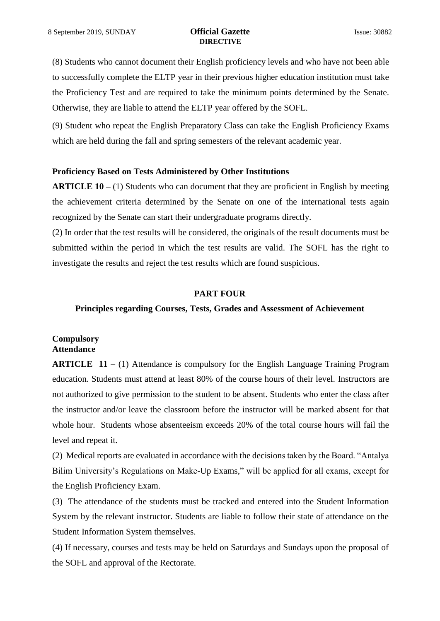(8) Students who cannot document their English proficiency levels and who have not been able to successfully complete the ELTP year in their previous higher education institution must take the Proficiency Test and are required to take the minimum points determined by the Senate. Otherwise, they are liable to attend the ELTP year offered by the SOFL.

(9) Student who repeat the English Preparatory Class can take the English Proficiency Exams which are held during the fall and spring semesters of the relevant academic year.

### **Proficiency Based on Tests Administered by Other Institutions**

**ARTICLE 10 –** (1) Students who can document that they are proficient in English by meeting the achievement criteria determined by the Senate on one of the international tests again recognized by the Senate can start their undergraduate programs directly.

(2) In order that the test results will be considered, the originals of the result documents must be submitted within the period in which the test results are valid. The SOFL has the right to investigate the results and reject the test results which are found suspicious.

### **PART FOUR**

## **Principles regarding Courses, Tests, Grades and Assessment of Achievement**

## **Compulsory Attendance**

**ARTICLE 11 –** (1) Attendance is compulsory for the English Language Training Program education. Students must attend at least 80% of the course hours of their level. Instructors are not authorized to give permission to the student to be absent. Students who enter the class after the instructor and/or leave the classroom before the instructor will be marked absent for that whole hour. Students whose absenteeism exceeds 20% of the total course hours will fail the level and repeat it.

(2) Medical reports are evaluated in accordance with the decisions taken by the Board. "Antalya Bilim University's Regulations on Make-Up Exams," will be applied for all exams, except for the English Proficiency Exam.

(3) The attendance of the students must be tracked and entered into the Student Information System by the relevant instructor. Students are liable to follow their state of attendance on the Student Information System themselves.

(4) If necessary, courses and tests may be held on Saturdays and Sundays upon the proposal of the SOFL and approval of the Rectorate.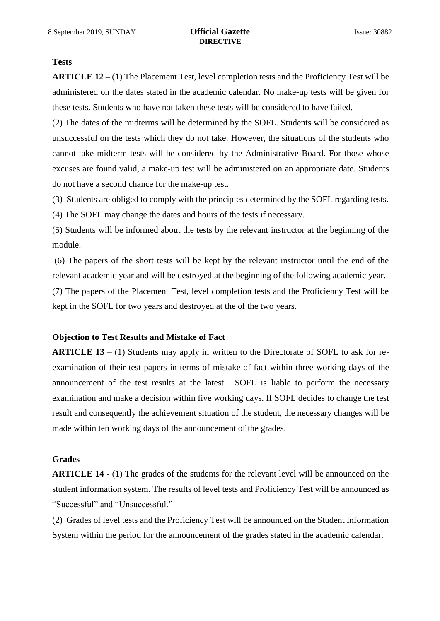#### **Tests**

**ARTICLE 12 –** (1) The Placement Test, level completion tests and the Proficiency Test will be administered on the dates stated in the academic calendar. No make-up tests will be given for these tests. Students who have not taken these tests will be considered to have failed.

(2) The dates of the midterms will be determined by the SOFL. Students will be considered as unsuccessful on the tests which they do not take. However, the situations of the students who cannot take midterm tests will be considered by the Administrative Board. For those whose excuses are found valid, a make-up test will be administered on an appropriate date. Students do not have a second chance for the make-up test.

(3) Students are obliged to comply with the principles determined by the SOFL regarding tests.

(4) The SOFL may change the dates and hours of the tests if necessary.

(5) Students will be informed about the tests by the relevant instructor at the beginning of the module.

(6) The papers of the short tests will be kept by the relevant instructor until the end of the relevant academic year and will be destroyed at the beginning of the following academic year.

(7) The papers of the Placement Test, level completion tests and the Proficiency Test will be kept in the SOFL for two years and destroyed at the of the two years.

### **Objection to Test Results and Mistake of Fact**

**ARTICLE 13 –** (1) Students may apply in written to the Directorate of SOFL to ask for reexamination of their test papers in terms of mistake of fact within three working days of the announcement of the test results at the latest. SOFL is liable to perform the necessary examination and make a decision within five working days. If SOFL decides to change the test result and consequently the achievement situation of the student, the necessary changes will be made within ten working days of the announcement of the grades.

### **Grades**

**ARTICLE 14 -** (1) The grades of the students for the relevant level will be announced on the student information system. The results of level tests and Proficiency Test will be announced as "Successful" and "Unsuccessful."

(2) Grades of level tests and the Proficiency Test will be announced on the Student Information System within the period for the announcement of the grades stated in the academic calendar.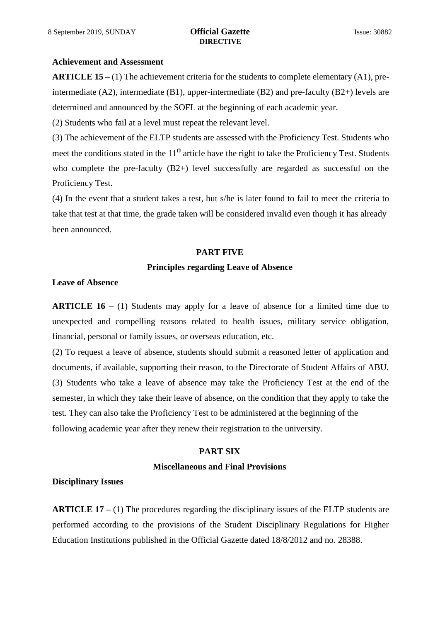### **Achievement and Assessment**

**ARTICLE 15 –** (1) The achievement criteria for the students to complete elementary (A1), preintermediate (A2), intermediate (B1), upper-intermediate (B2) and pre-faculty (B2+) levels are determined and announced by the SOFL at the beginning of each academic year.

(2) Students who fail at a level must repeat the relevant level.

(3) The achievement of the ELTP students are assessed with the Proficiency Test. Students who meet the conditions stated in the 11<sup>th</sup> article have the right to take the Proficiency Test. Students who complete the pre-faculty (B2+) level successfully are regarded as successful on the Proficiency Test.

(4) In the event that a student takes a test, but s/he is later found to fail to meet the criteria to take that test at that time, the grade taken will be considered invalid even though it has already been announced.

### **PART FIVE**

### **Principles regarding Leave of Absence**

### **Leave of Absence**

**ARTICLE 16 –** (1) Students may apply for a leave of absence for a limited time due to unexpected and compelling reasons related to health issues, military service obligation, financial, personal or family issues, or overseas education, etc.

(2) To request a leave of absence, students should submit a reasoned letter of application and documents, if available, supporting their reason, to the Directorate of Student Affairs of ABU. (3) Students who take a leave of absence may take the Proficiency Test at the end of the semester, in which they take their leave of absence, on the condition that they apply to take the test. They can also take the Proficiency Test to be administered at the beginning of the following academic year after they renew their registration to the university.

# **PART SIX Miscellaneous and Final Provisions**

### **Disciplinary Issues**

**ARTICLE 17 –** (1) The procedures regarding the disciplinary issues of the ELTP students are performed according to the provisions of the Student Disciplinary Regulations for Higher Education Institutions published in the Official Gazette dated 18/8/2012 and no. 28388.